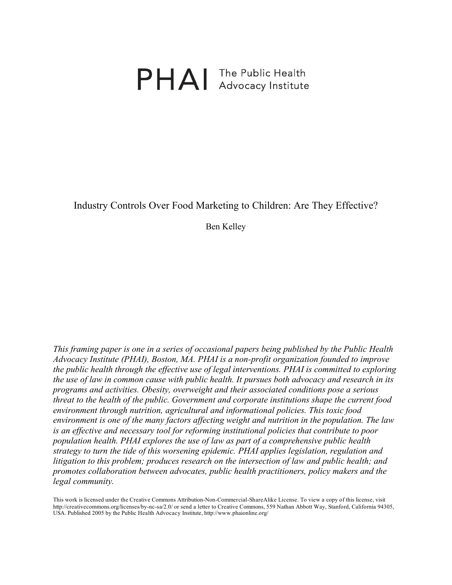# PHAI The Public Health

Industry Controls Over Food Marketing to Children: Are They Effective?

Ben Kelley

*This framing paper is one in a series of occasional papers being published by the Public Health Advocacy Institute (PHAI), Boston, MA. PHAI is a non-profit organization founded to improve the public health through the effective use of legal interventions. PHAI is committed to exploring the use of law in common cause with public health. It pursues both advocacy and research in its programs and activities. Obesity, overweight and their associated conditions pose a serious threat to the health of the public. Government and corporate institutions shape the current food environment through nutrition, agricultural and informational policies. This toxic food environment is one of the many factors affecting weight and nutrition in the population. The law is an effective and necessary tool for reforming institutional policies that contribute to poor population health. PHAI explores the use of law as part of a comprehensive public health strategy to turn the tide of this worsening epidemic. PHAI applies legislation, regulation and litigation to this problem; produces research on the intersection of law and public health; and promotes collaboration between advocates, public health practitioners, policy makers and the legal community.*

This work is licensed under the Creative Commons Attribution-Non-Commercial-ShareAlike License. To view a copy of this license, visit http://creativecommons.org/licenses/by-nc-sa/2.0/ or send a letter to Creative Commons, 559 Nathan Abbott Way, Stanford, California 94305, USA. Published 2005 by the Public Health Advocacy Institute, http://www.phaionline.org/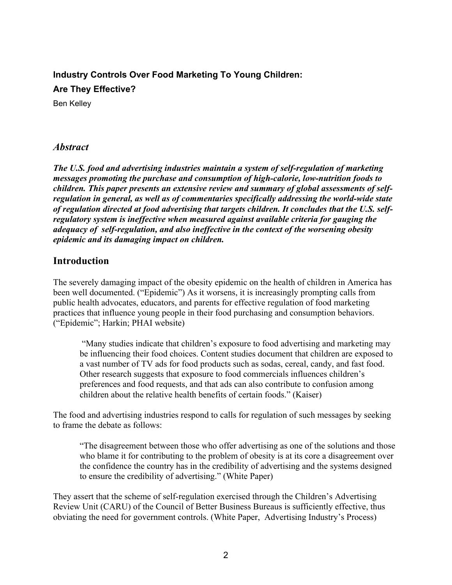## **Industry Controls Over Food Marketing To Young Children:**

**Are They Effective?**

Ben Kelley

# *Abstract*

*The U.S. food and advertising industries maintain a system of self-regulation of marketing messages promoting the purchase and consumption of high-calorie, low-nutrition foods to children. This paper presents an extensive review and summary of global assessments of selfregulation in general, as well as of commentaries specifically addressing the world-wide state of regulation directed at food advertising that targets children. It concludes that the U.S. selfregulatory system is ineffective when measured against available criteria for gauging the adequacy of self-regulation, and also ineffective in the context of the worsening obesity epidemic and its damaging impact on children.*

# **Introduction**

The severely damaging impact of the obesity epidemic on the health of children in America has been well documented. ("Epidemic") As it worsens, it is increasingly prompting calls from public health advocates, educators, and parents for effective regulation of food marketing practices that influence young people in their food purchasing and consumption behaviors. ("Epidemic"; Harkin; PHAI website)

 "Many studies indicate that children's exposure to food advertising and marketing may be influencing their food choices. Content studies document that children are exposed to a vast number of TV ads for food products such as sodas, cereal, candy, and fast food. Other research suggests that exposure to food commercials influences children's preferences and food requests, and that ads can also contribute to confusion among children about the relative health benefits of certain foods." (Kaiser)

The food and advertising industries respond to calls for regulation of such messages by seeking to frame the debate as follows:

"The disagreement between those who offer advertising as one of the solutions and those who blame it for contributing to the problem of obesity is at its core a disagreement over the confidence the country has in the credibility of advertising and the systems designed to ensure the credibility of advertising." (White Paper)

They assert that the scheme of self-regulation exercised through the Children's Advertising Review Unit (CARU) of the Council of Better Business Bureaus is sufficiently effective, thus obviating the need for government controls. (White Paper, Advertising Industry's Process)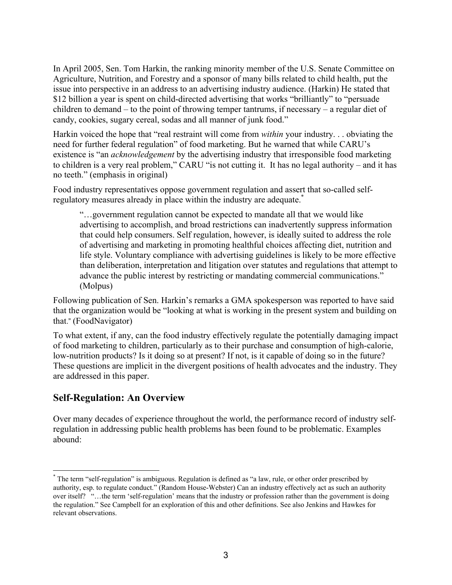In April 2005, Sen. Tom Harkin, the ranking minority member of the U.S. Senate Committee on Agriculture, Nutrition, and Forestry and a sponsor of many bills related to child health, put the issue into perspective in an address to an advertising industry audience. (Harkin) He stated that \$12 billion a year is spent on child-directed advertising that works "brilliantly" to "persuade children to demand – to the point of throwing temper tantrums, if necessary – a regular diet of candy, cookies, sugary cereal, sodas and all manner of junk food."

Harkin voiced the hope that "real restraint will come from *within* your industry. . . obviating the need for further federal regulation" of food marketing. But he warned that while CARU's existence is "an *acknowledgement* by the advertising industry that irresponsible food marketing to children is a very real problem," CARU "is not cutting it. It has no legal authority – and it has no teeth." (emphasis in original)

Food industry representatives oppose government regulation and assert that so-called selfregulatory measures already in place within the industry are adequate.<sup>\*</sup>

"…government regulation cannot be expected to mandate all that we would like advertising to accomplish, and broad restrictions can inadvertently suppress information that could help consumers. Self regulation, however, is ideally suited to address the role of advertising and marketing in promoting healthful choices affecting diet, nutrition and life style. Voluntary compliance with advertising guidelines is likely to be more effective than deliberation, interpretation and litigation over statutes and regulations that attempt to advance the public interest by restricting or mandating commercial communications." (Molpus)

Following publication of Sen. Harkin's remarks a GMA spokesperson was reported to have said that the organization would be "looking at what is working in the present system and building on that." (FoodNavigator)

To what extent, if any, can the food industry effectively regulate the potentially damaging impact of food marketing to children, particularly as to their purchase and consumption of high-calorie, low-nutrition products? Is it doing so at present? If not, is it capable of doing so in the future? These questions are implicit in the divergent positions of health advocates and the industry. They are addressed in this paper.

# Self-Regulation: An Overview

Over many decades of experience throughout the world, the performance record of industry selfregulation in addressing public health problems has been found to be problematic. Examples abound:

 <sup>\*</sup> The term "self-regulation" is ambiguous. Regulation is defined as "a law, rule, or other order prescribed by authority, esp. to regulate conduct." (Random House-Webster) Can an industry effectively act as such an authority over itself? "…the term 'self-regulation' means that the industry or profession rather than the government is doing the regulation." See Campbell for an exploration of this and other definitions. See also Jenkins and Hawkes for relevant observations.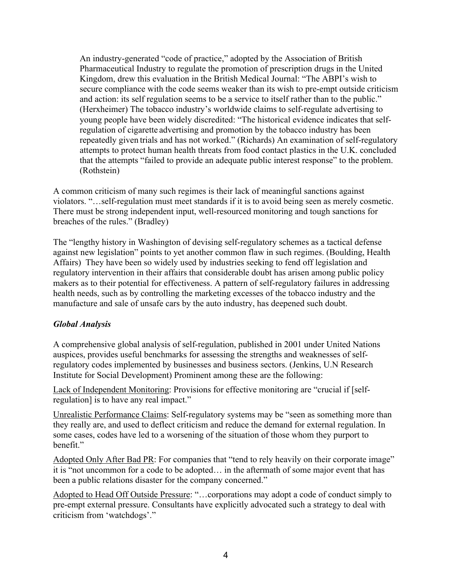An industry-generated "code of practice," adopted by the Association of British Pharmaceutical Industry to regulate the promotion of prescription drugs in the United Kingdom, drew this evaluation in the British Medical Journal: "The ABPI's wish to secure compliance with the code seems weaker than its wish to pre-empt outside criticism and action: its self regulation seems to be a service to itself rather than to the public." (Herxheimer) The tobacco industry's worldwide claims to self-regulate advertising to young people have been widely discredited: "The historical evidence indicates that selfregulation of cigarette advertising and promotion by the tobacco industry has been repeatedly given trials and has not worked." (Richards) An examination of self-regulatory attempts to protect human health threats from food contact plastics in the U.K. concluded that the attempts "failed to provide an adequate public interest response" to the problem. (Rothstein)

A common criticism of many such regimes is their lack of meaningful sanctions against violators. "…self-regulation must meet standards if it is to avoid being seen as merely cosmetic. There must be strong independent input, well-resourced monitoring and tough sanctions for breaches of the rules." (Bradley)

The "lengthy history in Washington of devising self-regulatory schemes as a tactical defense against new legislation" points to yet another common flaw in such regimes. (Boulding, Health Affairs) They have been so widely used by industries seeking to fend off legislation and regulatory intervention in their affairs that considerable doubt has arisen among public policy makers as to their potential for effectiveness. A pattern of self-regulatory failures in addressing health needs, such as by controlling the marketing excesses of the tobacco industry and the manufacture and sale of unsafe cars by the auto industry, has deepened such doubt.

## *Global Analysis*

A comprehensive global analysis of self-regulation, published in 2001 under United Nations auspices, provides useful benchmarks for assessing the strengths and weaknesses of selfregulatory codes implemented by businesses and business sectors. (Jenkins, U.N Research Institute for Social Development) Prominent among these are the following:

Lack of Independent Monitoring: Provisions for effective monitoring are "crucial if [selfregulation] is to have any real impact."

Unrealistic Performance Claims: Self-regulatory systems may be "seen as something more than they really are, and used to deflect criticism and reduce the demand for external regulation. In some cases, codes have led to a worsening of the situation of those whom they purport to benefit."

Adopted Only After Bad PR: For companies that "tend to rely heavily on their corporate image" it is "not uncommon for a code to be adopted… in the aftermath of some major event that has been a public relations disaster for the company concerned."

Adopted to Head Off Outside Pressure: "…corporations may adopt a code of conduct simply to pre-empt external pressure. Consultants have explicitly advocated such a strategy to deal with criticism from 'watchdogs'."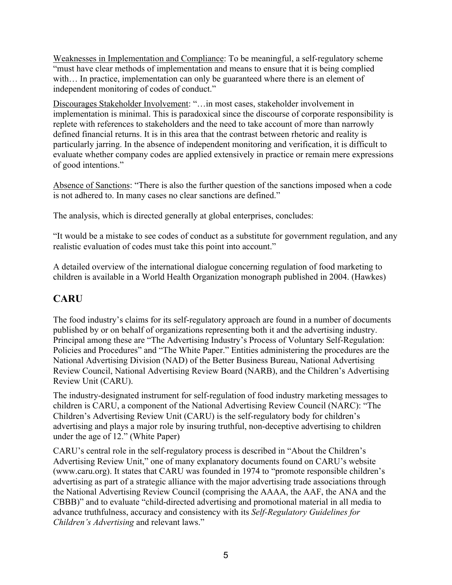Weaknesses in Implementation and Compliance: To be meaningful, a self-regulatory scheme "must have clear methods of implementation and means to ensure that it is being complied with... In practice, implementation can only be guaranteed where there is an element of independent monitoring of codes of conduct."

Discourages Stakeholder Involvement: "…in most cases, stakeholder involvement in implementation is minimal. This is paradoxical since the discourse of corporate responsibility is replete with references to stakeholders and the need to take account of more than narrowly defined financial returns. It is in this area that the contrast between rhetoric and reality is particularly jarring. In the absence of independent monitoring and verification, it is difficult to evaluate whether company codes are applied extensively in practice or remain mere expressions of good intentions."

Absence of Sanctions: "There is also the further question of the sanctions imposed when a code is not adhered to. In many cases no clear sanctions are defined."

The analysis, which is directed generally at global enterprises, concludes:

"It would be a mistake to see codes of conduct as a substitute for government regulation, and any realistic evaluation of codes must take this point into account."

A detailed overview of the international dialogue concerning regulation of food marketing to children is available in a World Health Organization monograph published in 2004. (Hawkes)

# **CARU**

The food industry's claims for its self-regulatory approach are found in a number of documents published by or on behalf of organizations representing both it and the advertising industry. Principal among these are "The Advertising Industry's Process of Voluntary Self-Regulation: Policies and Procedures" and "The White Paper." Entities administering the procedures are the National Advertising Division (NAD) of the Better Business Bureau, National Advertising Review Council, National Advertising Review Board (NARB), and the Children's Advertising Review Unit (CARU).

The industry-designated instrument for self-regulation of food industry marketing messages to children is CARU, a component of the National Advertising Review Council (NARC): "The Children's Advertising Review Unit (CARU) is the self-regulatory body for children's advertising and plays a major role by insuring truthful, non-deceptive advertising to children under the age of 12." (White Paper)

CARU's central role in the self-regulatory process is described in "About the Children's Advertising Review Unit," one of many explanatory documents found on CARU's website (www.caru.org). It states that CARU was founded in 1974 to "promote responsible children's advertising as part of a strategic alliance with the major advertising trade associations through the National Advertising Review Council (comprising the AAAA, the AAF, the ANA and the CBBB)" and to evaluate "child-directed advertising and promotional material in all media to advance truthfulness, accuracy and consistency with its *Self-Regulatory Guidelines for Children's Advertising* and relevant laws."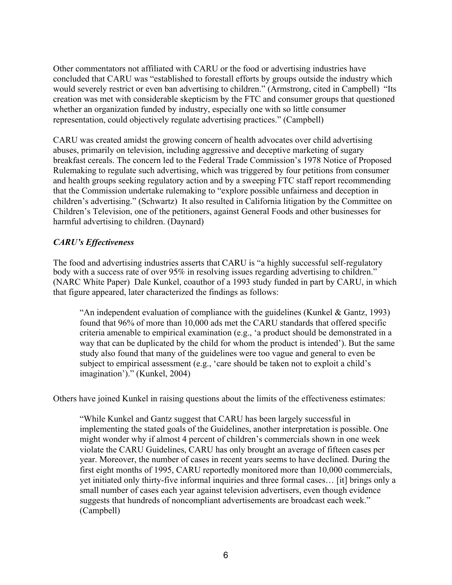Other commentators not affiliated with CARU or the food or advertising industries have concluded that CARU was "established to forestall efforts by groups outside the industry which would severely restrict or even ban advertising to children." (Armstrong, cited in Campbell) "Its creation was met with considerable skepticism by the FTC and consumer groups that questioned whether an organization funded by industry, especially one with so little consumer representation, could objectively regulate advertising practices." (Campbell)

CARU was created amidst the growing concern of health advocates over child advertising abuses, primarily on television, including aggressive and deceptive marketing of sugary breakfast cereals. The concern led to the Federal Trade Commission's 1978 Notice of Proposed Rulemaking to regulate such advertising, which was triggered by four petitions from consumer and health groups seeking regulatory action and by a sweeping FTC staff report recommending that the Commission undertake rulemaking to "explore possible unfairness and deception in children's advertising." (Schwartz) It also resulted in California litigation by the Committee on Children's Television, one of the petitioners, against General Foods and other businesses for harmful advertising to children. (Daynard)

## *CARU's Effectiveness*

The food and advertising industries asserts that CARU is "a highly successful self-regulatory body with a success rate of over 95% in resolving issues regarding advertising to children." (NARC White Paper) Dale Kunkel, coauthor of a 1993 study funded in part by CARU, in which that figure appeared, later characterized the findings as follows:

"An independent evaluation of compliance with the guidelines (Kunkel & Gantz, 1993) found that 96% of more than 10,000 ads met the CARU standards that offered specific criteria amenable to empirical examination (e.g., 'a product should be demonstrated in a way that can be duplicated by the child for whom the product is intended'). But the same study also found that many of the guidelines were too vague and general to even be subject to empirical assessment (e.g., 'care should be taken not to exploit a child's imagination')." (Kunkel, 2004)

Others have joined Kunkel in raising questions about the limits of the effectiveness estimates:

"While Kunkel and Gantz suggest that CARU has been largely successful in implementing the stated goals of the Guidelines, another interpretation is possible. One might wonder why if almost 4 percent of children's commercials shown in one week violate the CARU Guidelines, CARU has only brought an average of fifteen cases per year. Moreover, the number of cases in recent years seems to have declined. During the first eight months of 1995, CARU reportedly monitored more than 10,000 commercials, yet initiated only thirty-five informal inquiries and three formal cases… [it] brings only a small number of cases each year against television advertisers, even though evidence suggests that hundreds of noncompliant advertisements are broadcast each week." (Campbell)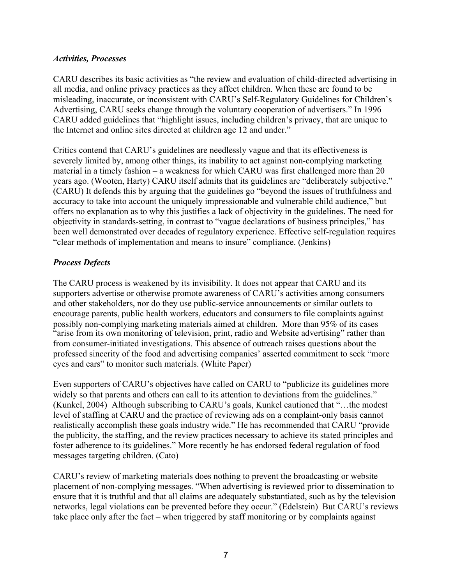## *Activities, Processes*

CARU describes its basic activities as "the review and evaluation of child-directed advertising in all media, and online privacy practices as they affect children. When these are found to be misleading, inaccurate, or inconsistent with CARU's Self-Regulatory Guidelines for Children's Advertising, CARU seeks change through the voluntary cooperation of advertisers." In 1996 CARU added guidelines that "highlight issues, including children's privacy, that are unique to the Internet and online sites directed at children age 12 and under."

Critics contend that CARU's guidelines are needlessly vague and that its effectiveness is severely limited by, among other things, its inability to act against non-complying marketing material in a timely fashion – a weakness for which CARU was first challenged more than 20 years ago. (Wooten, Harty) CARU itself admits that its guidelines are "deliberately subjective." (CARU) It defends this by arguing that the guidelines go "beyond the issues of truthfulness and accuracy to take into account the uniquely impressionable and vulnerable child audience," but offers no explanation as to why this justifies a lack of objectivity in the guidelines. The need for objectivity in standards-setting, in contrast to "vague declarations of business principles," has been well demonstrated over decades of regulatory experience. Effective self-regulation requires "clear methods of implementation and means to insure" compliance. (Jenkins)

## *Process Defects*

The CARU process is weakened by its invisibility. It does not appear that CARU and its supporters advertise or otherwise promote awareness of CARU's activities among consumers and other stakeholders, nor do they use public-service announcements or similar outlets to encourage parents, public health workers, educators and consumers to file complaints against possibly non-complying marketing materials aimed at children. More than 95% of its cases "arise from its own monitoring of television, print, radio and Website advertising" rather than from consumer-initiated investigations. This absence of outreach raises questions about the professed sincerity of the food and advertising companies' asserted commitment to seek "more eyes and ears" to monitor such materials. (White Paper)

Even supporters of CARU's objectives have called on CARU to "publicize its guidelines more widely so that parents and others can call to its attention to deviations from the guidelines." (Kunkel, 2004) Although subscribing to CARU's goals, Kunkel cautioned that "…the modest level of staffing at CARU and the practice of reviewing ads on a complaint-only basis cannot realistically accomplish these goals industry wide." He has recommended that CARU "provide the publicity, the staffing, and the review practices necessary to achieve its stated principles and foster adherence to its guidelines." More recently he has endorsed federal regulation of food messages targeting children. (Cato)

CARU's review of marketing materials does nothing to prevent the broadcasting or website placement of non-complying messages. "When advertising is reviewed prior to dissemination to ensure that it is truthful and that all claims are adequately substantiated, such as by the television networks, legal violations can be prevented before they occur." (Edelstein) But CARU's reviews take place only after the fact – when triggered by staff monitoring or by complaints against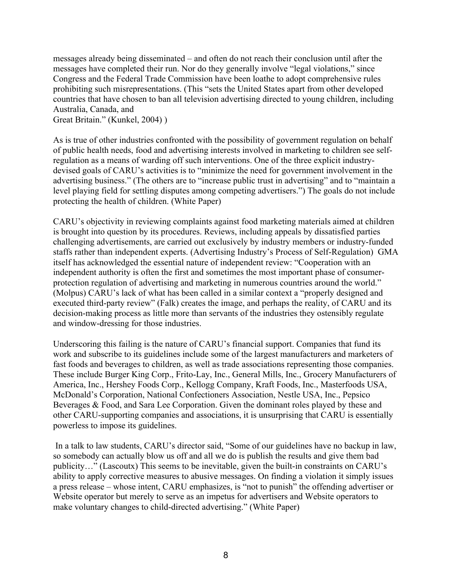messages already being disseminated – and often do not reach their conclusion until after the messages have completed their run. Nor do they generally involve "legal violations," since Congress and the Federal Trade Commission have been loathe to adopt comprehensive rules prohibiting such misrepresentations. (This "sets the United States apart from other developed countries that have chosen to ban all television advertising directed to young children, including Australia, Canada, and Great Britain." (Kunkel, 2004) )

As is true of other industries confronted with the possibility of government regulation on behalf of public health needs, food and advertising interests involved in marketing to children see selfregulation as a means of warding off such interventions. One of the three explicit industrydevised goals of CARU's activities is to "minimize the need for government involvement in the advertising business." (The others are to "increase public trust in advertising" and to "maintain a level playing field for settling disputes among competing advertisers.") The goals do not include protecting the health of children. (White Paper)

CARU's objectivity in reviewing complaints against food marketing materials aimed at children is brought into question by its procedures. Reviews, including appeals by dissatisfied parties challenging advertisements, are carried out exclusively by industry members or industry-funded staffs rather than independent experts. (Advertising Industry's Process of Self-Regulation) GMA itself has acknowledged the essential nature of independent review: "Cooperation with an independent authority is often the first and sometimes the most important phase of consumerprotection regulation of advertising and marketing in numerous countries around the world." (Molpus) CARU's lack of what has been called in a similar context a "properly designed and executed third-party review" (Falk) creates the image, and perhaps the reality, of CARU and its decision-making process as little more than servants of the industries they ostensibly regulate and window-dressing for those industries.

Underscoring this failing is the nature of CARU's financial support. Companies that fund its work and subscribe to its guidelines include some of the largest manufacturers and marketers of fast foods and beverages to children, as well as trade associations representing those companies. These include Burger King Corp., Frito-Lay, Inc., General Mills, Inc., Grocery Manufacturers of America, Inc., Hershey Foods Corp., Kellogg Company, Kraft Foods, Inc., Masterfoods USA, McDonald's Corporation, National Confectioners Association, Nestle USA, Inc., Pepsico Beverages & Food, and Sara Lee Corporation. Given the dominant roles played by these and other CARU-supporting companies and associations, it is unsurprising that CARU is essentially powerless to impose its guidelines.

 In a talk to law students, CARU's director said, "Some of our guidelines have no backup in law, so somebody can actually blow us off and all we do is publish the results and give them bad publicity…" (Lascoutx) This seems to be inevitable, given the built-in constraints on CARU's ability to apply corrective measures to abusive messages. On finding a violation it simply issues a press release – whose intent, CARU emphasizes, is "not to punish" the offending advertiser or Website operator but merely to serve as an impetus for advertisers and Website operators to make voluntary changes to child-directed advertising." (White Paper)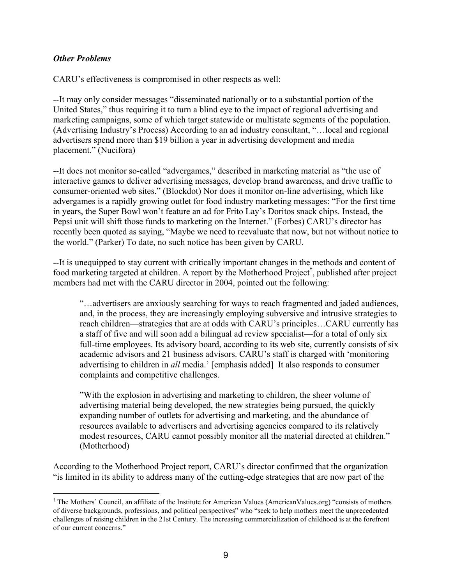## *Other Problems*

CARU's effectiveness is compromised in other respects as well:

--It may only consider messages "disseminated nationally or to a substantial portion of the United States," thus requiring it to turn a blind eye to the impact of regional advertising and marketing campaigns, some of which target statewide or multistate segments of the population. (Advertising Industry's Process) According to an ad industry consultant, "…local and regional advertisers spend more than \$19 billion a year in advertising development and media placement." (Nucifora)

--It does not monitor so-called "advergames," described in marketing material as "the use of interactive games to deliver advertising messages, develop brand awareness, and drive traffic to consumer-oriented web sites." (Blockdot) Nor does it monitor on-line advertising, which like advergames is a rapidly growing outlet for food industry marketing messages: "For the first time in years, the Super Bowl won't feature an ad for Frito Lay's Doritos snack chips. Instead, the Pepsi unit will shift those funds to marketing on the Internet." (Forbes) CARU's director has recently been quoted as saying, "Maybe we need to reevaluate that now, but not without notice to the world." (Parker) To date, no such notice has been given by CARU.

--It is unequipped to stay current with critically important changes in the methods and content of food marketing targeted at children. A report by the Motherhood Project<sup>†</sup>, published after project members had met with the CARU director in 2004, pointed out the following:

"…advertisers are anxiously searching for ways to reach fragmented and jaded audiences, and, in the process, they are increasingly employing subversive and intrusive strategies to reach children—strategies that are at odds with CARU's principles…CARU currently has a staff of five and will soon add a bilingual ad review specialist—for a total of only six full-time employees. Its advisory board, according to its web site, currently consists of six academic advisors and 21 business advisors. CARU's staff is charged with 'monitoring advertising to children in *all* media.' [emphasis added] It also responds to consumer complaints and competitive challenges.

"With the explosion in advertising and marketing to children, the sheer volume of advertising material being developed, the new strategies being pursued, the quickly expanding number of outlets for advertising and marketing, and the abundance of resources available to advertisers and advertising agencies compared to its relatively modest resources, CARU cannot possibly monitor all the material directed at children." (Motherhood)

According to the Motherhood Project report, CARU's director confirmed that the organization "is limited in its ability to address many of the cutting-edge strategies that are now part of the

 <sup>†</sup> <sup> $\dagger$ </sup> The Mothers' Council, an affiliate of the Institute for American Values (AmericanValues.org) "consists of mothers" of diverse backgrounds, professions, and political perspectives" who "seek to help mothers meet the unprecedented challenges of raising children in the 21st Century. The increasing commercialization of childhood is at the forefront of our current concerns."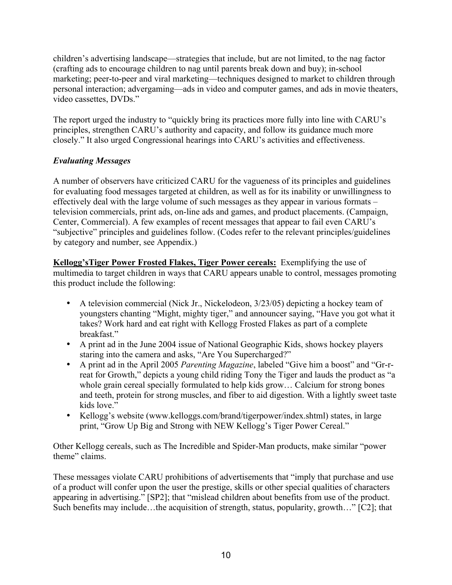children's advertising landscape—strategies that include, but are not limited, to the nag factor (crafting ads to encourage children to nag until parents break down and buy); in-school marketing; peer-to-peer and viral marketing—techniques designed to market to children through personal interaction; advergaming—ads in video and computer games, and ads in movie theaters, video cassettes, DVDs."

The report urged the industry to "quickly bring its practices more fully into line with CARU's principles, strengthen CARU's authority and capacity, and follow its guidance much more closely." It also urged Congressional hearings into CARU's activities and effectiveness.

# *Evaluating Messages*

A number of observers have criticized CARU for the vagueness of its principles and guidelines for evaluating food messages targeted at children, as well as for its inability or unwillingness to effectively deal with the large volume of such messages as they appear in various formats – television commercials, print ads, on-line ads and games, and product placements. (Campaign, Center, Commercial). A few examples of recent messages that appear to fail even CARU's "subjective" principles and guidelines follow. (Codes refer to the relevant principles/guidelines by category and number, see Appendix.)

Kellogg'sTiger Power Frosted Flakes, Tiger Power cereals: Exemplifying the use of multimedia to target children in ways that CARU appears unable to control, messages promoting this product include the following:

- A television commercial (Nick Jr., Nickelodeon, 3/23/05) depicting a hockey team of youngsters chanting "Might, mighty tiger," and announcer saying, "Have you got what it takes? Work hard and eat right with Kellogg Frosted Flakes as part of a complete breakfast."
- A print ad in the June 2004 issue of National Geographic Kids, shows hockey players staring into the camera and asks, "Are You Supercharged?"
- A print ad in the April 2005 *Parenting Magazine*, labeled "Give him a boost" and "Gr-rreat for Growth," depicts a young child riding Tony the Tiger and lauds the product as "a whole grain cereal specially formulated to help kids grow… Calcium for strong bones and teeth, protein for strong muscles, and fiber to aid digestion. With a lightly sweet taste kids love."
- Kellogg's website (www.kelloggs.com/brand/tigerpower/index.shtml) states, in large print, "Grow Up Big and Strong with NEW Kellogg's Tiger Power Cereal."

Other Kellogg cereals, such as The Incredible and Spider-Man products, make similar "power theme" claims.

These messages violate CARU prohibitions of advertisements that "imply that purchase and use of a product will confer upon the user the prestige, skills or other special qualities of characters appearing in advertising." [SP2]; that "mislead children about benefits from use of the product. Such benefits may include…the acquisition of strength, status, popularity, growth…" [C2]; that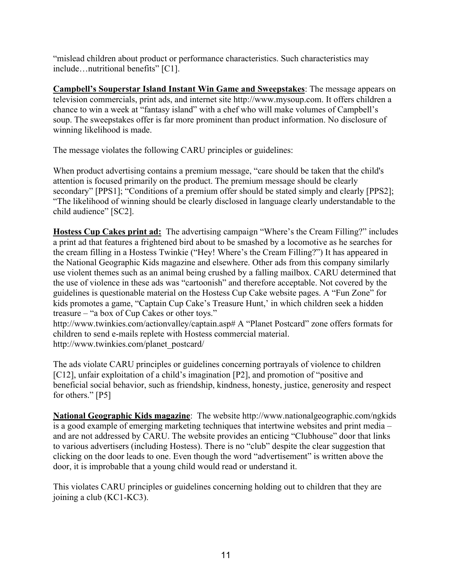"mislead children about product or performance characteristics. Such characteristics may include…nutritional benefits" [C1].

Campbell's Souperstar Island Instant Win Game and Sweepstakes: The message appears on television commercials, print ads, and internet site http://www.mysoup.com. It offers children a chance to win a week at "fantasy island" with a chef who will make volumes of Campbell's soup. The sweepstakes offer is far more prominent than product information. No disclosure of winning likelihood is made.

The message violates the following CARU principles or guidelines:

When product advertising contains a premium message, "care should be taken that the child's attention is focused primarily on the product. The premium message should be clearly secondary" [PPS1]; "Conditions of a premium offer should be stated simply and clearly [PPS2]; "The likelihood of winning should be clearly disclosed in language clearly understandable to the child audience" [SC2].

Hostess Cup Cakes print ad: The advertising campaign "Where's the Cream Filling?" includes a print ad that features a frightened bird about to be smashed by a locomotive as he searches for the cream filling in a Hostess Twinkie ("Hey! Where's the Cream Filling?") It has appeared in the National Geographic Kids magazine and elsewhere. Other ads from this company similarly use violent themes such as an animal being crushed by a falling mailbox. CARU determined that the use of violence in these ads was "cartoonish" and therefore acceptable. Not covered by the guidelines is questionable material on the Hostess Cup Cake website pages. A "Fun Zone" for kids promotes a game, "Captain Cup Cake's Treasure Hunt,' in which children seek a hidden treasure – "a box of Cup Cakes or other toys."

http://www.twinkies.com/actionvalley/captain.asp# A "Planet Postcard" zone offers formats for children to send e-mails replete with Hostess commercial material. http://www.twinkies.com/planet\_postcard/

The ads violate CARU principles or guidelines concerning portrayals of violence to children [C12], unfair exploitation of a child's imagination [P2], and promotion of "positive and beneficial social behavior, such as friendship, kindness, honesty, justice, generosity and respect for others." [P5]

National Geographic Kids magazine: The website http://www.nationalgeographic.com/ngkids is a good example of emerging marketing techniques that intertwine websites and print media – and are not addressed by CARU. The website provides an enticing "Clubhouse" door that links to various advertisers (including Hostess). There is no "club" despite the clear suggestion that clicking on the door leads to one. Even though the word "advertisement" is written above the door, it is improbable that a young child would read or understand it.

This violates CARU principles or guidelines concerning holding out to children that they are joining a club (KC1-KC3).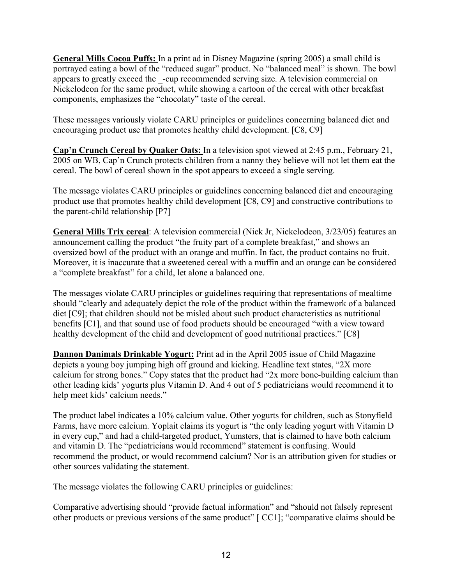General Mills Cocoa Puffs: In a print ad in Disney Magazine (spring 2005) a small child is portrayed eating a bowl of the "reduced sugar" product. No "balanced meal" is shown. The bowl appears to greatly exceed the \_-cup recommended serving size. A television commercial on Nickelodeon for the same product, while showing a cartoon of the cereal with other breakfast components, emphasizes the "chocolaty" taste of the cereal.

These messages variously violate CARU principles or guidelines concerning balanced diet and encouraging product use that promotes healthy child development. [C8, C9]

Cap'n Crunch Cereal by Quaker Oats: In a television spot viewed at 2:45 p.m., February 21, 2005 on WB, Cap'n Crunch protects children from a nanny they believe will not let them eat the cereal. The bowl of cereal shown in the spot appears to exceed a single serving.

The message violates CARU principles or guidelines concerning balanced diet and encouraging product use that promotes healthy child development [C8, C9] and constructive contributions to the parent-child relationship [P7]

General Mills Trix cereal: A television commercial (Nick Jr, Nickelodeon, 3/23/05) features an announcement calling the product "the fruity part of a complete breakfast," and shows an oversized bowl of the product with an orange and muffin. In fact, the product contains no fruit. Moreover, it is inaccurate that a sweetened cereal with a muffin and an orange can be considered a "complete breakfast" for a child, let alone a balanced one.

The messages violate CARU principles or guidelines requiring that representations of mealtime should "clearly and adequately depict the role of the product within the framework of a balanced diet [C9]; that children should not be misled about such product characteristics as nutritional benefits [C1], and that sound use of food products should be encouraged "with a view toward healthy development of the child and development of good nutritional practices." [C8]

Dannon Danimals Drinkable Yogurt: Print ad in the April 2005 issue of Child Magazine depicts a young boy jumping high off ground and kicking. Headline text states, "2X more calcium for strong bones." Copy states that the product had "2x more bone-building calcium than other leading kids' yogurts plus Vitamin D. And 4 out of 5 pediatricians would recommend it to help meet kids' calcium needs."

The product label indicates a 10% calcium value. Other yogurts for children, such as Stonyfield Farms, have more calcium. Yoplait claims its yogurt is "the only leading yogurt with Vitamin D in every cup," and had a child-targeted product, Yumsters, that is claimed to have both calcium and vitamin D. The "pediatricians would recommend" statement is confusing. Would recommend the product, or would recommend calcium? Nor is an attribution given for studies or other sources validating the statement.

The message violates the following CARU principles or guidelines:

Comparative advertising should "provide factual information" and "should not falsely represent other products or previous versions of the same product" [ CC1]; "comparative claims should be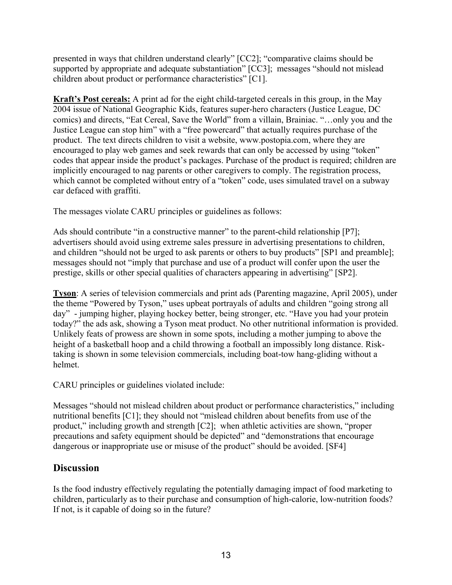presented in ways that children understand clearly" [CC2]; "comparative claims should be supported by appropriate and adequate substantiation" [CC3]; messages "should not mislead children about product or performance characteristics" [C1].

Kraft's Post cereals: A print ad for the eight child-targeted cereals in this group, in the May 2004 issue of National Geographic Kids, features super-hero characters (Justice League, DC comics) and directs, "Eat Cereal, Save the World" from a villain, Brainiac. "…only you and the Justice League can stop him" with a "free powercard" that actually requires purchase of the product. The text directs children to visit a website, www.postopia.com, where they are encouraged to play web games and seek rewards that can only be accessed by using "token" codes that appear inside the product's packages. Purchase of the product is required; children are implicitly encouraged to nag parents or other caregivers to comply. The registration process, which cannot be completed without entry of a "token" code, uses simulated travel on a subway car defaced with graffiti.

The messages violate CARU principles or guidelines as follows:

Ads should contribute "in a constructive manner" to the parent-child relationship [P7]; advertisers should avoid using extreme sales pressure in advertising presentations to children, and children "should not be urged to ask parents or others to buy products" [SP1 and preamble]; messages should not "imply that purchase and use of a product will confer upon the user the prestige, skills or other special qualities of characters appearing in advertising" [SP2].

Tyson: A series of television commercials and print ads (Parenting magazine, April 2005), under the theme "Powered by Tyson," uses upbeat portrayals of adults and children "going strong all day" - jumping higher, playing hockey better, being stronger, etc. "Have you had your protein today?" the ads ask, showing a Tyson meat product. No other nutritional information is provided. Unlikely feats of prowess are shown in some spots, including a mother jumping to above the height of a basketball hoop and a child throwing a football an impossibly long distance. Risktaking is shown in some television commercials, including boat-tow hang-gliding without a helmet.

CARU principles or guidelines violated include:

Messages "should not mislead children about product or performance characteristics," including nutritional benefits [C1]; they should not "mislead children about benefits from use of the product," including growth and strength [C2]; when athletic activities are shown, "proper precautions and safety equipment should be depicted" and "demonstrations that encourage dangerous or inappropriate use or misuse of the product" should be avoided. [SF4]

# **Discussion**

Is the food industry effectively regulating the potentially damaging impact of food marketing to children, particularly as to their purchase and consumption of high-calorie, low-nutrition foods? If not, is it capable of doing so in the future?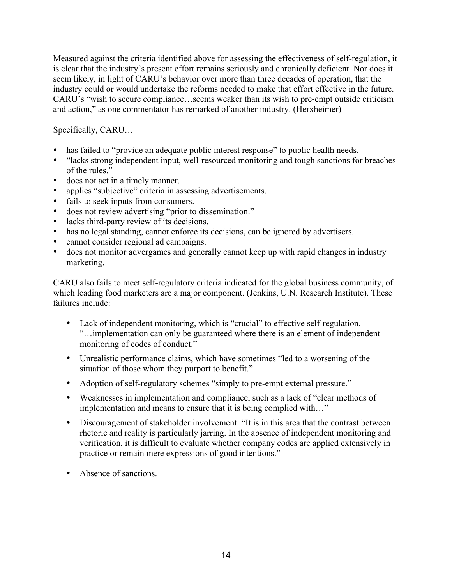Measured against the criteria identified above for assessing the effectiveness of self-regulation, it is clear that the industry's present effort remains seriously and chronically deficient. Nor does it seem likely, in light of CARU's behavior over more than three decades of operation, that the industry could or would undertake the reforms needed to make that effort effective in the future. CARU's "wish to secure compliance…seems weaker than its wish to pre-empt outside criticism and action," as one commentator has remarked of another industry. (Herxheimer)

Specifically, CARU…

- has failed to "provide an adequate public interest response" to public health needs.
- "lacks strong independent input, well-resourced monitoring and tough sanctions for breaches of the rules."
- does not act in a timely manner.
- applies "subjective" criteria in assessing advertisements.
- fails to seek inputs from consumers.
- does not review advertising "prior to dissemination."
- lacks third-party review of its decisions.
- has no legal standing, cannot enforce its decisions, can be ignored by advertisers.
- cannot consider regional ad campaigns.
- does not monitor advergames and generally cannot keep up with rapid changes in industry marketing.

CARU also fails to meet self-regulatory criteria indicated for the global business community, of which leading food marketers are a major component. (Jenkins, U.N. Research Institute). These failures include:

- Lack of independent monitoring, which is "crucial" to effective self-regulation. "…implementation can only be guaranteed where there is an element of independent monitoring of codes of conduct."
- Unrealistic performance claims, which have sometimes "led to a worsening of the situation of those whom they purport to benefit."
- Adoption of self-regulatory schemes "simply to pre-empt external pressure."
- Weaknesses in implementation and compliance, such as a lack of "clear methods of implementation and means to ensure that it is being complied with…"
- Discouragement of stakeholder involvement: "It is in this area that the contrast between rhetoric and reality is particularly jarring. In the absence of independent monitoring and verification, it is difficult to evaluate whether company codes are applied extensively in practice or remain mere expressions of good intentions."
- Absence of sanctions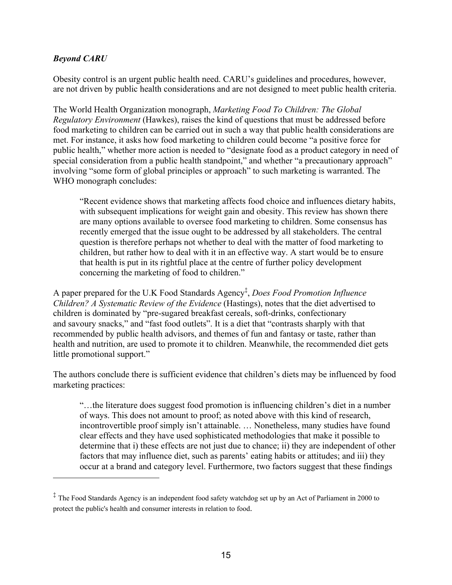## *Beyond CARU*

 $\overline{a}$ 

Obesity control is an urgent public health need. CARU's guidelines and procedures, however, are not driven by public health considerations and are not designed to meet public health criteria.

The World Health Organization monograph, *Marketing Food To Children: The Global Regulatory Environment* (Hawkes), raises the kind of questions that must be addressed before food marketing to children can be carried out in such a way that public health considerations are met. For instance, it asks how food marketing to children could become "a positive force for public health," whether more action is needed to "designate food as a product category in need of special consideration from a public health standpoint," and whether "a precautionary approach" involving "some form of global principles or approach" to such marketing is warranted. The WHO monograph concludes:

"Recent evidence shows that marketing affects food choice and influences dietary habits, with subsequent implications for weight gain and obesity. This review has shown there are many options available to oversee food marketing to children. Some consensus has recently emerged that the issue ought to be addressed by all stakeholders. The central question is therefore perhaps not whether to deal with the matter of food marketing to children, but rather how to deal with it in an effective way. A start would be to ensure that health is put in its rightful place at the centre of further policy development concerning the marketing of food to children."

A paper prepared for the U.K Food Standards Agency‡ , *Does Food Promotion Influence Children? A Systematic Review of the Evidence* (Hastings), notes that the diet advertised to children is dominated by "pre-sugared breakfast cereals, soft-drinks, confectionary and savoury snacks," and "fast food outlets". It is a diet that "contrasts sharply with that recommended by public health advisors, and themes of fun and fantasy or taste, rather than health and nutrition, are used to promote it to children. Meanwhile, the recommended diet gets little promotional support."

The authors conclude there is sufficient evidence that children's diets may be influenced by food marketing practices:

"…the literature does suggest food promotion is influencing children's diet in a number of ways. This does not amount to proof; as noted above with this kind of research, incontrovertible proof simply isn't attainable. … Nonetheless, many studies have found clear effects and they have used sophisticated methodologies that make it possible to determine that i) these effects are not just due to chance; ii) they are independent of other factors that may influence diet, such as parents' eating habits or attitudes; and iii) they occur at a brand and category level. Furthermore, two factors suggest that these findings

<sup>‡</sup> The Food Standards Agency is an independent food safety watchdog set up by an Act of Parliament in 2000 to protect the public's health and consumer interests in relation to food.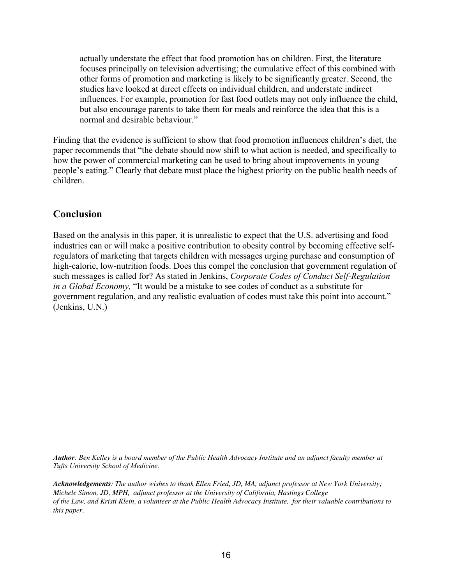actually understate the effect that food promotion has on children. First, the literature focuses principally on television advertising; the cumulative effect of this combined with other forms of promotion and marketing is likely to be significantly greater. Second, the studies have looked at direct effects on individual children, and understate indirect influences. For example, promotion for fast food outlets may not only influence the child, but also encourage parents to take them for meals and reinforce the idea that this is a normal and desirable behaviour."

Finding that the evidence is sufficient to show that food promotion influences children's diet, the paper recommends that "the debate should now shift to what action is needed, and specifically to how the power of commercial marketing can be used to bring about improvements in young people's eating." Clearly that debate must place the highest priority on the public health needs of children.

# Conclusion

Based on the analysis in this paper, it is unrealistic to expect that the U.S. advertising and food industries can or will make a positive contribution to obesity control by becoming effective selfregulators of marketing that targets children with messages urging purchase and consumption of high-calorie, low-nutrition foods. Does this compel the conclusion that government regulation of such messages is called for? As stated in Jenkins, *Corporate Codes of Conduct Self-Regulation in a Global Economy,* "It would be a mistake to see codes of conduct as a substitute for government regulation, and any realistic evaluation of codes must take this point into account." (Jenkins, U.N.)

*Author: Ben Kelley is a board member of the Public Health Advocacy Institute and an adjunct faculty member at Tufts University School of Medicine.*

*Acknowledgements: The author wishes to thank Ellen Fried, JD, MA, adjunct professor at New York University; Michele Simon, JD, MPH, adjunct professor at the University of California, Hastings College of the Law, and Kristi Klein, a volunteer at the Public Health Advocacy Institute, for their valuable contributions to this paper*.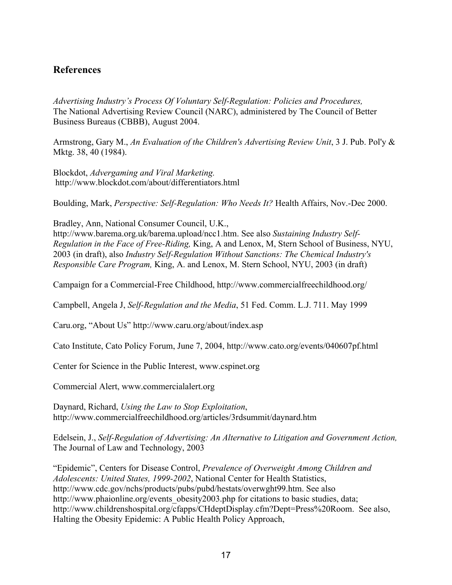# **References**

*Advertising Industry's Process Of Voluntary Self-Regulation: Policies and Procedures,* The National Advertising Review Council (NARC), administered by The Council of Better Business Bureaus (CBBB), August 2004.

Armstrong, Gary M., *An Evaluation of the Children's Advertising Review Unit*, 3 J. Pub. Pol'y & Mktg. 38, 40 (1984).

Blockdot, *Advergaming and Viral Marketing.* http://www.blockdot.com/about/differentiators.html

Boulding, Mark, *Perspective: Self-Regulation: Who Needs It?* Health Affairs, Nov.-Dec 2000.

Bradley, Ann, National Consumer Council, U.K., http://www.barema.org.uk/barema.upload/ncc1.htm. See also *Sustaining Industry Self-Regulation in the Face of Free-Riding,* King, A and Lenox, M, Stern School of Business, NYU, 2003 (in draft), also *Industry Self-Regulation Without Sanctions: The Chemical Industry's Responsible Care Program,* King, A. and Lenox, M. Stern School, NYU, 2003 (in draft)

Campaign for a Commercial-Free Childhood, http://www.commercialfreechildhood.org/

Campbell, Angela J, *Self-Regulation and the Media*, 51 Fed. Comm. L.J. 711. May 1999

Caru.org, "About Us" http://www.caru.org/about/index.asp

Cato Institute, Cato Policy Forum, June 7, 2004, http://www.cato.org/events/040607pf.html

Center for Science in the Public Interest, www.cspinet.org

Commercial Alert, www.commercialalert.org

Daynard, Richard, *Using the Law to Stop Exploitation*, http://www.commercialfreechildhood.org/articles/3rdsummit/daynard.htm

Edelsein, J., *Self-Regulation of Advertising: An Alternative to Litigation and Government Action,* The Journal of Law and Technology, 2003

"Epidemic", Centers for Disease Control, *Prevalence of Overweight Among Children and Adolescents: United States, 1999-2002*, National Center for Health Statistics, http://www.cdc.gov/nchs/products/pubs/pubd/hestats/overwght99.htm. See also http://www.phaionline.org/events\_obesity2003.php for citations to basic studies, data; http://www.childrenshospital.org/cfapps/CHdeptDisplay.cfm?Dept=Press%20Room. See also, Halting the Obesity Epidemic: A Public Health Policy Approach,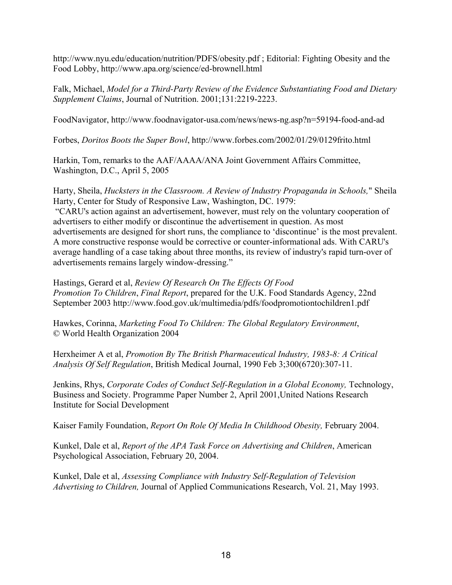http://www.nyu.edu/education/nutrition/PDFS/obesity.pdf ; Editorial: Fighting Obesity and the Food Lobby, http://www.apa.org/science/ed-brownell.html

Falk, Michael, *Model for a Third-Party Review of the Evidence Substantiating Food and Dietary Supplement Claims*, Journal of Nutrition. 2001;131:2219-2223.

FoodNavigator, http://www.foodnavigator-usa.com/news/news-ng.asp?n=59194-food-and-ad

Forbes, *Doritos Boots the Super Bowl*, http://www.forbes.com/2002/01/29/0129frito.html

Harkin, Tom, remarks to the AAF/AAAA/ANA Joint Government Affairs Committee, Washington, D.C., April 5, 2005

Harty, Sheila, *Hucksters in the Classroom. A Review of Industry Propaganda in Schools,*" Sheila Harty, Center for Study of Responsive Law, Washington, DC. 1979:

 "CARU's action against an advertisement, however, must rely on the voluntary cooperation of advertisers to either modify or discontinue the advertisement in question. As most advertisements are designed for short runs, the compliance to 'discontinue' is the most prevalent. A more constructive response would be corrective or counter-informational ads. With CARU's average handling of a case taking about three months, its review of industry's rapid turn-over of advertisements remains largely window-dressing."

Hastings, Gerard et al, *Review Of Research On The Effects Of Food Promotion To Children*, *Final Report*, prepared for the U.K. Food Standards Agency, 22nd September 2003 http://www.food.gov.uk/multimedia/pdfs/foodpromotiontochildren1.pdf

Hawkes, Corinna, *Marketing Food To Children: The Global Regulatory Environment*, © World Health Organization 2004

Herxheimer A et al, *Promotion By The British Pharmaceutical Industry, 1983-8: A Critical Analysis Of Self Regulation*, British Medical Journal, 1990 Feb 3;300(6720):307-11.

Jenkins, Rhys, *Corporate Codes of Conduct Self-Regulation in a Global Economy*, Technology, Business and Society. Programme Paper Number 2, April 2001,United Nations Research Institute for Social Development

Kaiser Family Foundation, *Report On Role Of Media In Childhood Obesity,* February 2004.

Kunkel, Dale et al, *Report of the APA Task Force on Advertising and Children*, American Psychological Association, February 20, 2004.

Kunkel, Dale et al, *Assessing Compliance with Industry Self-Regulation of Television Advertising to Children,* Journal of Applied Communications Research, Vol. 21, May 1993.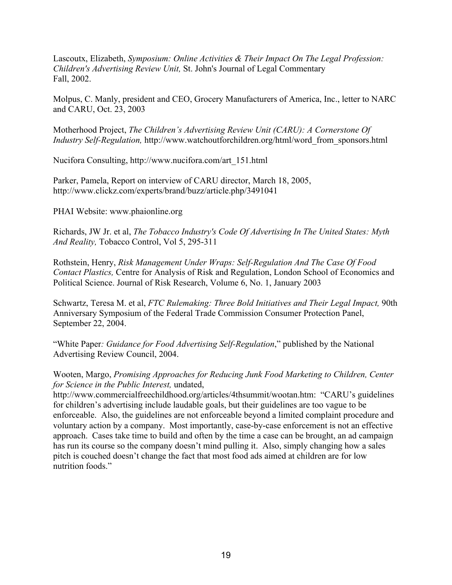Lascoutx, Elizabeth, *Symposium: Online Activities & Their Impact On The Legal Profession: Children's Advertising Review Unit,* St. John's Journal of Legal Commentary Fall, 2002.

Molpus, C. Manly, president and CEO, Grocery Manufacturers of America, Inc., letter to NARC and CARU, Oct. 23, 2003

Motherhood Project, *The Children's Advertising Review Unit (CARU): A Cornerstone Of Industry Self-Regulation,* http://www.watchoutforchildren.org/html/word\_from\_sponsors.html

Nucifora Consulting, http://www.nucifora.com/art\_151.html

Parker, Pamela, Report on interview of CARU director, March 18, 2005, http://www.clickz.com/experts/brand/buzz/article.php/3491041

PHAI Website: www.phaionline.org

Richards, JW Jr. et al, *The Tobacco Industry's Code Of Advertising In The United States: Myth And Reality,* Tobacco Control, Vol 5, 295-311

Rothstein, Henry, *Risk Management Under Wraps: Self-Regulation And The Case Of Food Contact Plastics,* Centre for Analysis of Risk and Regulation, London School of Economics and Political Science. Journal of Risk Research, Volume 6, No. 1, January 2003

Schwartz, Teresa M. et al, *FTC Rulemaking: Three Bold Initiatives and Their Legal Impact,* 90th Anniversary Symposium of the Federal Trade Commission Consumer Protection Panel, September 22, 2004.

"White Paper*: Guidance for Food Advertising Self-Regulation*," published by the National Advertising Review Council, 2004.

Wooten, Margo, *Promising Approaches for Reducing Junk Food Marketing to Children, Center for Science in the Public Interest,* undated,

http://www.commercialfreechildhood.org/articles/4thsummit/wootan.htm: "CARU's guidelines for children's advertising include laudable goals, but their guidelines are too vague to be enforceable. Also, the guidelines are not enforceable beyond a limited complaint procedure and voluntary action by a company. Most importantly, case-by-case enforcement is not an effective approach. Cases take time to build and often by the time a case can be brought, an ad campaign has run its course so the company doesn't mind pulling it. Also, simply changing how a sales pitch is couched doesn't change the fact that most food ads aimed at children are for low nutrition foods."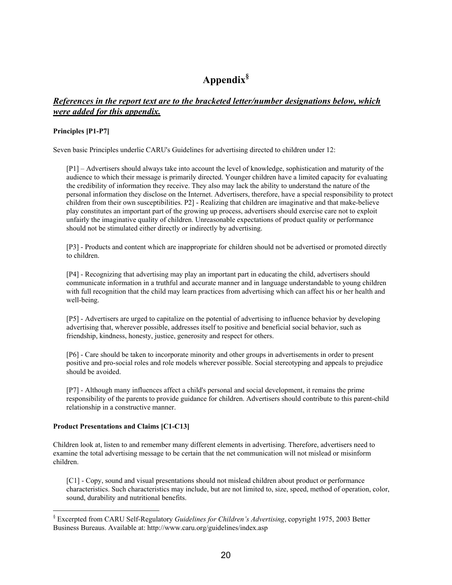# Appendix§

## *References in the report text are to the bracketed letter/number designations below, which were added for this appendix.*

## Principles [P1-P7]

Seven basic Principles underlie CARU's Guidelines for advertising directed to children under 12:

[P1] – Advertisers should always take into account the level of knowledge, sophistication and maturity of the audience to which their message is primarily directed. Younger children have a limited capacity for evaluating the credibility of information they receive. They also may lack the ability to understand the nature of the personal information they disclose on the Internet. Advertisers, therefore, have a special responsibility to protect children from their own susceptibilities. P2] - Realizing that children are imaginative and that make-believe play constitutes an important part of the growing up process, advertisers should exercise care not to exploit unfairly the imaginative quality of children. Unreasonable expectations of product quality or performance should not be stimulated either directly or indirectly by advertising.

[P3] - Products and content which are inappropriate for children should not be advertised or promoted directly to children.

[P4] - Recognizing that advertising may play an important part in educating the child, advertisers should communicate information in a truthful and accurate manner and in language understandable to young children with full recognition that the child may learn practices from advertising which can affect his or her health and well-being.

[P5] - Advertisers are urged to capitalize on the potential of advertising to influence behavior by developing advertising that, wherever possible, addresses itself to positive and beneficial social behavior, such as friendship, kindness, honesty, justice, generosity and respect for others.

[P6] - Care should be taken to incorporate minority and other groups in advertisements in order to present positive and pro-social roles and role models wherever possible. Social stereotyping and appeals to prejudice should be avoided.

[P7] - Although many influences affect a child's personal and social development, it remains the prime responsibility of the parents to provide guidance for children. Advertisers should contribute to this parent-child relationship in a constructive manner.

## Product Presentations and Claims [C1-C13]

Children look at, listen to and remember many different elements in advertising. Therefore, advertisers need to examine the total advertising message to be certain that the net communication will not mislead or misinform children.

[C1] - Copy, sound and visual presentations should not mislead children about product or performance characteristics. Such characteristics may include, but are not limited to, size, speed, method of operation, color, sound, durability and nutritional benefits.

 <sup>§</sup> Excerpted from CARU Self-Regulatory *Guidelines for Children's Advertising*, copyright 1975, 2003 Better Business Bureaus. Available at: http://www.caru.org/guidelines/index.asp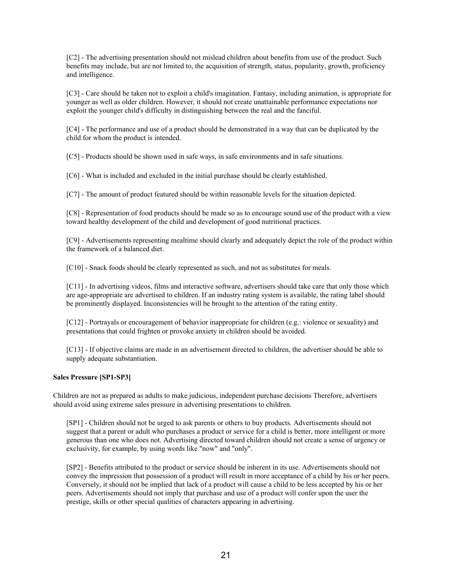[C2] - The advertising presentation should not mislead children about benefits from use of the product. Such benefits may include, but are not limited to, the acquisition of strength, status, popularity, growth, proficiency and intelligence.

[C3] - Care should be taken not to exploit a child's imagination. Fantasy, including animation, is appropriate for younger as well as older children. However, it should not create unattainable performance expectations nor exploit the younger child's difficulty in distinguishing between the real and the fanciful.

[C4] - The performance and use of a product should be demonstrated in a way that can be duplicated by the child for whom the product is intended.

[C5] - Products should be shown used in safe ways, in safe environments and in safe situations.

[C6] - What is included and excluded in the initial purchase should be clearly established.

[C7] - The amount of product featured should be within reasonable levels for the situation depicted.

[C8] - Representation of food products should be made so as to encourage sound use of the product with a view toward healthy development of the child and development of good nutritional practices.

[C9] - Advertisements representing mealtime should clearly and adequately depict the role of the product within the framework of a balanced diet.

[C10] - Snack foods should be clearly represented as such, and not as substitutes for meals.

[C11] - In advertising videos, films and interactive software, advertisers should take care that only those which are age-appropriate are advertised to children. If an industry rating system is available, the rating label should be prominently displayed. Inconsistencies will be brought to the attention of the rating entity.

[C12] - Portrayals or encouragement of behavior inappropriate for children (e.g.: violence or sexuality) and presentations that could frighten or provoke anxiety in children should be avoided.

[C13] - If objective claims are made in an advertisement directed to children, the advertiser should be able to supply adequate substantiation.

#### Sales Pressure [SP1-SP3]

Children are not as prepared as adults to make judicious, independent purchase decisions Therefore, advertisers should avoid using extreme sales pressure in advertising presentations to children.

[SP1] - Children should not be urged to ask parents or others to buy products. Advertisements should not suggest that a parent or adult who purchases a product or service for a child is better, more intelligent or more generous than one who does not. Advertising directed toward children should not create a sense of urgency or exclusivity, for example, by using words like "now" and "only".

[SP2] - Benefits attributed to the product or service should be inherent in its use. Advertisements should not convey the impression that possession of a product will result in more acceptance of a child by his or her peers. Conversely, it should not be implied that lack of a product will cause a child to be less accepted by his or her peers. Advertisements should not imply that purchase and use of a product will confer upon the user the prestige, skills or other special qualities of characters appearing in advertising.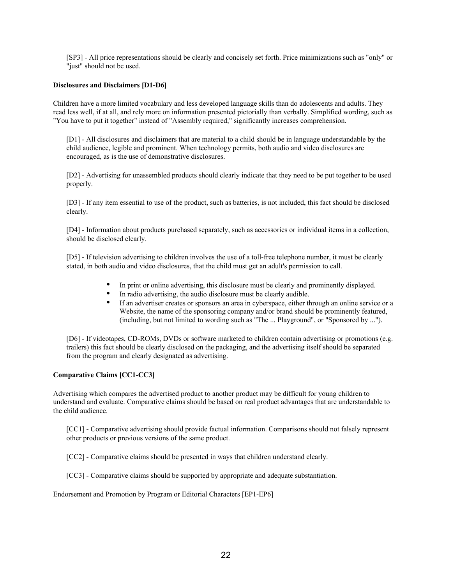[SP3] - All price representations should be clearly and concisely set forth. Price minimizations such as "only" or "just" should not be used.

#### Disclosures and Disclaimers [D1-D6]

Children have a more limited vocabulary and less developed language skills than do adolescents and adults. They read less well, if at all, and rely more on information presented pictorially than verbally. Simplified wording, such as "You have to put it together" instead of "Assembly required," significantly increases comprehension.

[D1] - All disclosures and disclaimers that are material to a child should be in language understandable by the child audience, legible and prominent. When technology permits, both audio and video disclosures are encouraged, as is the use of demonstrative disclosures.

[D2] - Advertising for unassembled products should clearly indicate that they need to be put together to be used properly.

[D3] - If any item essential to use of the product, such as batteries, is not included, this fact should be disclosed clearly.

[D4] - Information about products purchased separately, such as accessories or individual items in a collection, should be disclosed clearly.

[D5] - If television advertising to children involves the use of a toll-free telephone number, it must be clearly stated, in both audio and video disclosures, that the child must get an adult's permission to call.

- In print or online advertising, this disclosure must be clearly and prominently displayed.<br>• In radio advertising, the audio disclosure must be clearly audible.
- In radio advertising, the audio disclosure must be clearly audible.
- If an advertiser creates or sponsors an area in cyberspace, either through an online service or a Website, the name of the sponsoring company and/or brand should be prominently featured, (including, but not limited to wording such as "The ... Playground", or "Sponsored by ...").

[D6] - If videotapes, CD-ROMs, DVDs or software marketed to children contain advertising or promotions (e.g. trailers) this fact should be clearly disclosed on the packaging, and the advertising itself should be separated from the program and clearly designated as advertising.

## Comparative Claims [CC1-CC3]

Advertising which compares the advertised product to another product may be difficult for young children to understand and evaluate. Comparative claims should be based on real product advantages that are understandable to the child audience.

[CC1] - Comparative advertising should provide factual information. Comparisons should not falsely represent other products or previous versions of the same product.

[CC2] - Comparative claims should be presented in ways that children understand clearly.

[CC3] - Comparative claims should be supported by appropriate and adequate substantiation.

Endorsement and Promotion by Program or Editorial Characters [EP1-EP6]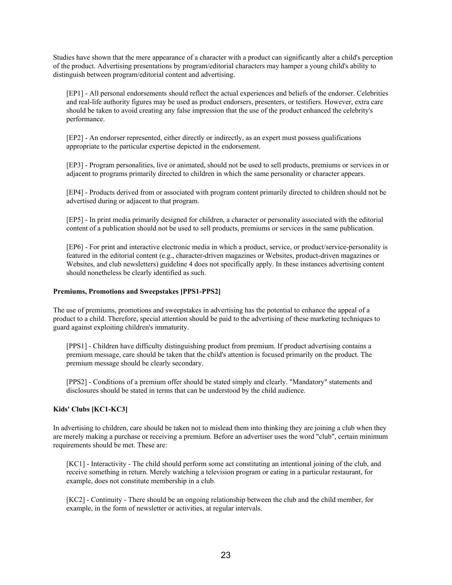Studies have shown that the mere appearance of a character with a product can significantly alter a child's perception of the product. Advertising presentations by program/editorial characters may hamper a young child's ability to distinguish between program/editorial content and advertising.

[EP1] - All personal endorsements should reflect the actual experiences and beliefs of the endorser. Celebrities and real-life authority figures may be used as product endorsers, presenters, or testifiers. However, extra care should be taken to avoid creating any false impression that the use of the product enhanced the celebrity's performance.

[EP2] - An endorser represented, either directly or indirectly, as an expert must possess qualifications appropriate to the particular expertise depicted in the endorsement.

[EP3] - Program personalities, live or animated, should not be used to sell products, premiums or services in or adjacent to programs primarily directed to children in which the same personality or character appears.

[EP4] - Products derived from or associated with program content primarily directed to children should not be advertised during or adjacent to that program.

[EP5] - In print media primarily designed for children, a character or personality associated with the editorial content of a publication should not be used to sell products, premiums or services in the same publication.

[EP6] - For print and interactive electronic media in which a product, service, or product/service-personality is featured in the editorial content (e.g., character-driven magazines or Websites, product-driven magazines or Websites, and club newsletters) guideline 4 does not specifically apply. In these instances advertising content should nonetheless be clearly identified as such.

#### Premiums, Promotions and Sweepstakes [PPS1-PPS2]

The use of premiums, promotions and sweepstakes in advertising has the potential to enhance the appeal of a product to a child. Therefore, special attention should be paid to the advertising of these marketing techniques to guard against exploiting children's immaturity.

[PPS1] - Children have difficulty distinguishing product from premium. If product advertising contains a premium message, care should be taken that the child's attention is focused primarily on the product. The premium message should be clearly secondary.

[PPS2] - Conditions of a premium offer should be stated simply and clearly. "Mandatory" statements and disclosures should be stated in terms that can be understood by the child audience.

#### Kids' Clubs [KC1-KC3]

In advertising to children, care should be taken not to mislead them into thinking they are joining a club when they are merely making a purchase or receiving a premium. Before an advertiser uses the word "club", certain minimum requirements should be met. These are:

[KC1] - Interactivity - The child should perform some act constituting an intentional joining of the club, and receive something in return. Merely watching a television program or eating in a particular restaurant, for example, does not constitute membership in a club.

[KC2] - Continuity - There should be an ongoing relationship between the club and the child member, for example, in the form of newsletter or activities, at regular intervals.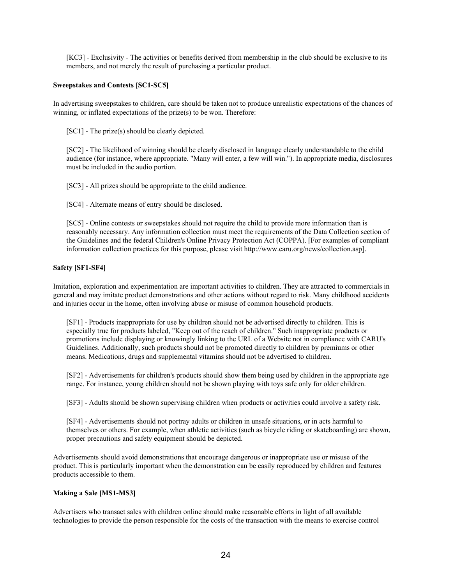[KC3] - Exclusivity - The activities or benefits derived from membership in the club should be exclusive to its members, and not merely the result of purchasing a particular product.

#### Sweepstakes and Contests [SC1-SC5]

In advertising sweepstakes to children, care should be taken not to produce unrealistic expectations of the chances of winning, or inflated expectations of the prize(s) to be won. Therefore:

[SC1] - The prize(s) should be clearly depicted.

[SC2] - The likelihood of winning should be clearly disclosed in language clearly understandable to the child audience (for instance, where appropriate. "Many will enter, a few will win."). In appropriate media, disclosures must be included in the audio portion.

[SC3] - All prizes should be appropriate to the child audience.

[SC4] - Alternate means of entry should be disclosed.

[SC5] - Online contests or sweepstakes should not require the child to provide more information than is reasonably necessary. Any information collection must meet the requirements of the Data Collection section of the Guidelines and the federal Children's Online Privacy Protection Act (COPPA). [For examples of compliant information collection practices for this purpose, please visit http://www.caru.org/news/collection.asp].

## Safety [SF1-SF4]

Imitation, exploration and experimentation are important activities to children. They are attracted to commercials in general and may imitate product demonstrations and other actions without regard to risk. Many childhood accidents and injuries occur in the home, often involving abuse or misuse of common household products.

[SF1] - Products inappropriate for use by children should not be advertised directly to children. This is especially true for products labeled, "Keep out of the reach of children." Such inappropriate products or promotions include displaying or knowingly linking to the URL of a Website not in compliance with CARU's Guidelines. Additionally, such products should not be promoted directly to children by premiums or other means. Medications, drugs and supplemental vitamins should not be advertised to children.

[SF2] - Advertisements for children's products should show them being used by children in the appropriate age range. For instance, young children should not be shown playing with toys safe only for older children.

[SF3] - Adults should be shown supervising children when products or activities could involve a safety risk.

[SF4] - Advertisements should not portray adults or children in unsafe situations, or in acts harmful to themselves or others. For example, when athletic activities (such as bicycle riding or skateboarding) are shown, proper precautions and safety equipment should be depicted.

Advertisements should avoid demonstrations that encourage dangerous or inappropriate use or misuse of the product. This is particularly important when the demonstration can be easily reproduced by children and features products accessible to them.

#### Making a Sale [MS1-MS3]

Advertisers who transact sales with children online should make reasonable efforts in light of all available technologies to provide the person responsible for the costs of the transaction with the means to exercise control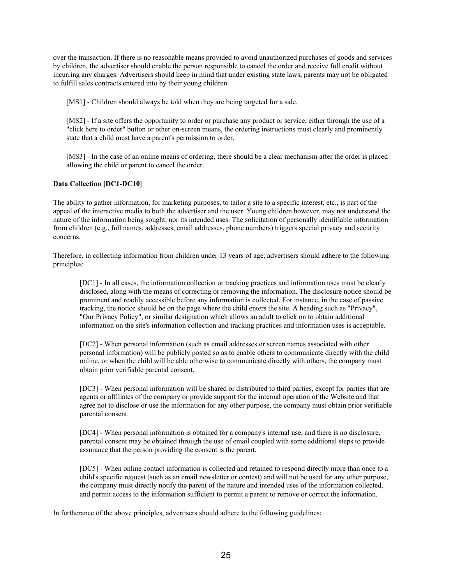over the transaction. If there is no reasonable means provided to avoid unauthorized purchases of goods and services by children, the advertiser should enable the person responsible to cancel the order and receive full credit without incurring any charges. Advertisers should keep in mind that under existing state laws, parents may not be obligated to fulfill sales contracts entered into by their young children.

[MS1] - Children should always be told when they are being targeted for a sale.

[MS2] - If a site offers the opportunity to order or purchase any product or service, either through the use of a "click here to order" button or other on-screen means, the ordering instructions must clearly and prominently state that a child must have a parent's permission to order.

[MS3] - In the case of an online means of ordering, there should be a clear mechanism after the order is placed allowing the child or parent to cancel the order.

#### Data Collection [DC1-DC10]

The ability to gather information, for marketing purposes, to tailor a site to a specific interest, etc., is part of the appeal of the interactive media to both the advertiser and the user. Young children however, may not understand the nature of the information being sought, nor its intended uses. The solicitation of personally identifiable information from children (e.g., full names, addresses, email addresses, phone numbers) triggers special privacy and security concerns.

Therefore, in collecting information from children under 13 years of age, advertisers should adhere to the following principles:

[DC1] - In all cases, the information collection or tracking practices and information uses must be clearly disclosed, along with the means of correcting or removing the information. The disclosure notice should be prominent and readily accessible before any information is collected. For instance, in the case of passive tracking, the notice should be on the page where the child enters the site. A heading such as "Privacy", "Our Privacy Policy", or similar designation which allows an adult to click on to obtain additional information on the site's information collection and tracking practices and information uses is acceptable.

[DC2] - When personal information (such as email addresses or screen names associated with other personal information) will be publicly posted so as to enable others to communicate directly with the child online, or when the child will be able otherwise to communicate directly with others, the company must obtain prior verifiable parental consent.

[DC3] - When personal information will be shared or distributed to third parties, except for parties that are agents or affiliates of the company or provide support for the internal operation of the Website and that agree not to disclose or use the information for any other purpose, the company must obtain prior verifiable parental consent.

[DC4] - When personal information is obtained for a company's internal use, and there is no disclosure, parental consent may be obtained through the use of email coupled with some additional steps to provide assurance that the person providing the consent is the parent.

[DC5] - When online contact information is collected and retained to respond directly more than once to a child's specific request (such as an email newsletter or contest) and will not be used for any other purpose, the company must directly notify the parent of the nature and intended uses of the information collected, and permit access to the information sufficient to permit a parent to remove or correct the information.

In furtherance of the above principles, advertisers should adhere to the following guidelines: